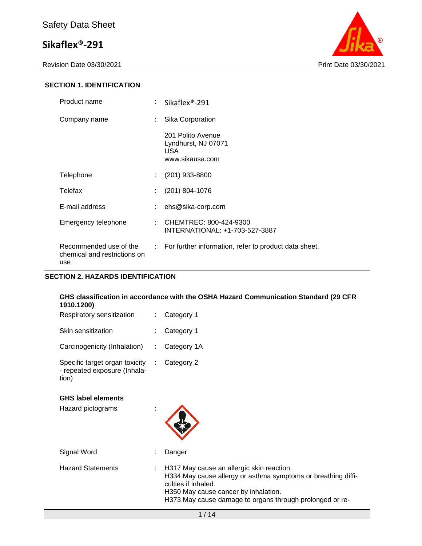Revision Date 03/30/2021 Print Date 03/30/2021



#### **SECTION 1. IDENTIFICATION**

| Product name                                                  |    | Sikaflex <sup>®</sup> -291                                         |
|---------------------------------------------------------------|----|--------------------------------------------------------------------|
| Company name                                                  | ÷. | Sika Corporation                                                   |
|                                                               |    | 201 Polito Avenue<br>Lyndhurst, NJ 07071<br>USA<br>www.sikausa.com |
| Telephone                                                     | ÷. | (201) 933-8800                                                     |
| Telefax                                                       |    | (201) 804-1076                                                     |
| E-mail address                                                |    | ehs@sika-corp.com                                                  |
| Emergency telephone                                           |    | CHEMTREC: 800-424-9300<br>INTERNATIONAL: +1-703-527-3887           |
| Recommended use of the<br>chemical and restrictions on<br>use |    | : For further information, refer to product data sheet.            |

#### **SECTION 2. HAZARDS IDENTIFICATION**

#### **GHS classification in accordance with the OSHA Hazard Communication Standard (29 CFR 1910.1200)**

| Respiratory sensitization                                               | $\therefore$ Category 1 |
|-------------------------------------------------------------------------|-------------------------|
| Skin sensitization                                                      | : Category 1            |
| Carcinogenicity (Inhalation)                                            | : Category 1A           |
| Specific target organ toxicity<br>- repeated exposure (Inhala-<br>tion) | Category 2              |

#### **GHS label elements**

| <b>GHS label elements</b><br>Hazard pictograms |                                                                                                                                                                                                                                       |
|------------------------------------------------|---------------------------------------------------------------------------------------------------------------------------------------------------------------------------------------------------------------------------------------|
| Signal Word                                    | Danger                                                                                                                                                                                                                                |
| <b>Hazard Statements</b>                       | H317 May cause an allergic skin reaction.<br>H334 May cause allergy or asthma symptoms or breathing diffi-<br>culties if inhaled.<br>H350 May cause cancer by inhalation.<br>H373 May cause damage to organs through prolonged or re- |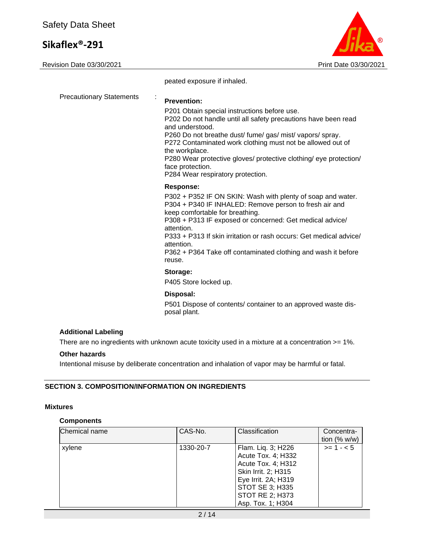Revision Date 03/30/2021 2021 2021 2022 2021 2022 2024 2022 2024 2022 2024 2022 2024



peated exposure if inhaled.

| <b>Precautionary Statements</b> | <b>Prevention:</b>                                                                                                                                                                                                                                                                                                                                                                                           |
|---------------------------------|--------------------------------------------------------------------------------------------------------------------------------------------------------------------------------------------------------------------------------------------------------------------------------------------------------------------------------------------------------------------------------------------------------------|
|                                 | P201 Obtain special instructions before use.<br>P202 Do not handle until all safety precautions have been read<br>and understood.<br>P260 Do not breathe dust/ fume/ gas/ mist/ vapors/ spray.<br>P272 Contaminated work clothing must not be allowed out of<br>the workplace.<br>P280 Wear protective gloves/ protective clothing/ eye protection/<br>face protection.<br>P284 Wear respiratory protection. |
|                                 | <b>Response:</b>                                                                                                                                                                                                                                                                                                                                                                                             |
|                                 | P302 + P352 IF ON SKIN: Wash with plenty of soap and water.<br>P304 + P340 IF INHALED: Remove person to fresh air and<br>keep comfortable for breathing.<br>P308 + P313 IF exposed or concerned: Get medical advice/<br>attention.<br>P333 + P313 If skin irritation or rash occurs: Get medical advice/<br>attention.<br>P362 + P364 Take off contaminated clothing and wash it before<br>reuse.            |
|                                 | Storage:                                                                                                                                                                                                                                                                                                                                                                                                     |
|                                 | P405 Store locked up.                                                                                                                                                                                                                                                                                                                                                                                        |
|                                 | Disposal:<br>P501 Dispose of contents/ container to an approved waste dis-                                                                                                                                                                                                                                                                                                                                   |

#### **Other hazards**

Intentional misuse by deliberate concentration and inhalation of vapor may be harmful or fatal.

#### **SECTION 3. COMPOSITION/INFORMATION ON INGREDIENTS**

#### **Mixtures**

#### **Components**

| Chemical name | CAS-No.   | Classification         | Concentra-     |
|---------------|-----------|------------------------|----------------|
|               |           |                        | tion $(% w/w)$ |
| xylene        | 1330-20-7 | Flam. Liq. 3; H226     | $>= 1 - 5$     |
|               |           | Acute Tox. 4; H332     |                |
|               |           | Acute Tox. 4; H312     |                |
|               |           | Skin Irrit. 2; H315    |                |
|               |           | Eye Irrit. 2A; H319    |                |
|               |           | <b>STOT SE 3; H335</b> |                |
|               |           | <b>STOT RE 2; H373</b> |                |
|               |           | Asp. Tox. 1; H304      |                |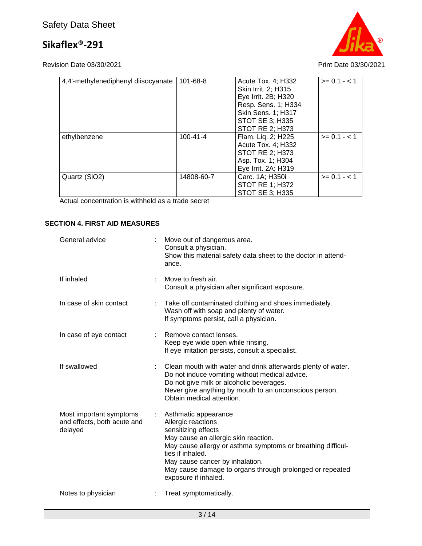# Safety Data Sheet

# **Sikaflex®-291**

Revision Date 03/30/2021 Print Date 03/30/2021

| 4,4'-methylenediphenyl diisocyanate | 101-68-8       | Acute Tox. 4; H332<br>Skin Irrit. 2: H315<br>Eye Irrit. 2B; H320<br>Resp. Sens. 1; H334<br>Skin Sens. 1; H317<br>STOT SE 3; H335<br><b>STOT RE 2: H373</b> | $>= 0.1 - < 1$ |
|-------------------------------------|----------------|------------------------------------------------------------------------------------------------------------------------------------------------------------|----------------|
| ethylbenzene                        | $100 - 41 - 4$ | Flam. Lig. 2; H225<br>Acute Tox. 4; H332<br>STOT RE 2; H373<br>Asp. Tox. 1; H304<br>Eye Irrit. 2A; H319                                                    | $>= 0.1 - < 1$ |
| Quartz (SiO2)                       | 14808-60-7     | Carc. 1A; H350i<br><b>STOT RE 1; H372</b><br><b>STOT SE 3; H335</b>                                                                                        | $>= 0.1 - 1.1$ |

Actual concentration is withheld as a trade secret

#### **SECTION 4. FIRST AID MEASURES**

| General advice                                                    |                       | Move out of dangerous area.<br>Consult a physician.<br>Show this material safety data sheet to the doctor in attend-<br>ance.                                                                                                                                                                                       |
|-------------------------------------------------------------------|-----------------------|---------------------------------------------------------------------------------------------------------------------------------------------------------------------------------------------------------------------------------------------------------------------------------------------------------------------|
| If inhaled                                                        | ÷.                    | Move to fresh air.<br>Consult a physician after significant exposure.                                                                                                                                                                                                                                               |
| In case of skin contact                                           | ÷.                    | Take off contaminated clothing and shoes immediately.<br>Wash off with soap and plenty of water.<br>If symptoms persist, call a physician.                                                                                                                                                                          |
| In case of eye contact                                            |                       | Remove contact lenses.<br>Keep eye wide open while rinsing.<br>If eye irritation persists, consult a specialist.                                                                                                                                                                                                    |
| If swallowed                                                      |                       | Clean mouth with water and drink afterwards plenty of water.<br>Do not induce vomiting without medical advice.<br>Do not give milk or alcoholic beverages.<br>Never give anything by mouth to an unconscious person.<br>Obtain medical attention.                                                                   |
| Most important symptoms<br>and effects, both acute and<br>delayed | $\mathbb{Z}^{\times}$ | Asthmatic appearance<br>Allergic reactions<br>sensitizing effects<br>May cause an allergic skin reaction.<br>May cause allergy or asthma symptoms or breathing difficul-<br>ties if inhaled.<br>May cause cancer by inhalation.<br>May cause damage to organs through prolonged or repeated<br>exposure if inhaled. |
| Notes to physician                                                |                       | Treat symptomatically.                                                                                                                                                                                                                                                                                              |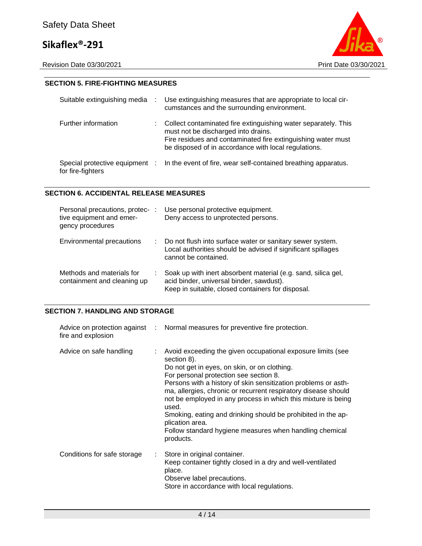

#### **SECTION 5. FIRE-FIGHTING MEASURES**

| Suitable extinguishing media                        |    | Use extinguishing measures that are appropriate to local cir-<br>cumstances and the surrounding environment.                                                                                                                  |
|-----------------------------------------------------|----|-------------------------------------------------------------------------------------------------------------------------------------------------------------------------------------------------------------------------------|
| Further information                                 | t. | Collect contaminated fire extinguishing water separately. This<br>must not be discharged into drains.<br>Fire residues and contaminated fire extinguishing water must<br>be disposed of in accordance with local regulations. |
| Special protective equipment :<br>for fire-fighters |    | In the event of fire, wear self-contained breathing apparatus.                                                                                                                                                                |

#### **SECTION 6. ACCIDENTAL RELEASE MEASURES**

| Personal precautions, protec- :<br>tive equipment and emer-<br>gency procedures | Use personal protective equipment.<br>Deny access to unprotected persons.                                                                                      |
|---------------------------------------------------------------------------------|----------------------------------------------------------------------------------------------------------------------------------------------------------------|
| Environmental precautions                                                       | : Do not flush into surface water or sanitary sewer system.<br>Local authorities should be advised if significant spillages<br>cannot be contained.            |
| Methods and materials for<br>containment and cleaning up                        | Soak up with inert absorbent material (e.g. sand, silica gel,<br>acid binder, universal binder, sawdust).<br>Keep in suitable, closed containers for disposal. |

#### **SECTION 7. HANDLING AND STORAGE**

| fire and explosion          |    | Advice on protection against : Normal measures for preventive fire protection.                                                                                                                                                                                                                                                                                                                                                                                                                                                                |
|-----------------------------|----|-----------------------------------------------------------------------------------------------------------------------------------------------------------------------------------------------------------------------------------------------------------------------------------------------------------------------------------------------------------------------------------------------------------------------------------------------------------------------------------------------------------------------------------------------|
| Advice on safe handling     |    | Avoid exceeding the given occupational exposure limits (see<br>section 8).<br>Do not get in eyes, on skin, or on clothing.<br>For personal protection see section 8.<br>Persons with a history of skin sensitization problems or asth-<br>ma, allergies, chronic or recurrent respiratory disease should<br>not be employed in any process in which this mixture is being<br>used.<br>Smoking, eating and drinking should be prohibited in the ap-<br>plication area.<br>Follow standard hygiene measures when handling chemical<br>products. |
| Conditions for safe storage | ÷. | Store in original container.<br>Keep container tightly closed in a dry and well-ventilated<br>place.<br>Observe label precautions.<br>Store in accordance with local regulations.                                                                                                                                                                                                                                                                                                                                                             |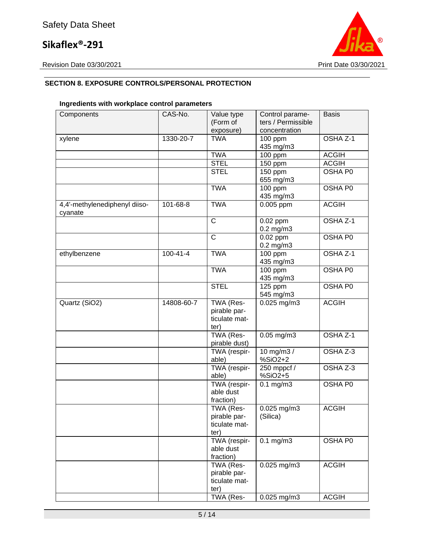

### **SECTION 8. EXPOSURE CONTROLS/PERSONAL PROTECTION**

### **Ingredients with workplace control parameters**

| Components                               | CAS-No.        | Value type<br>(Form of<br>exposure)                | Control parame-<br>ters / Permissible<br>concentration | <b>Basis</b> |
|------------------------------------------|----------------|----------------------------------------------------|--------------------------------------------------------|--------------|
| xylene                                   | 1330-20-7      | <b>TWA</b>                                         | 100 ppm<br>435 mg/m3                                   | OSHA Z-1     |
|                                          |                | <b>TWA</b>                                         | 100 ppm                                                | <b>ACGIH</b> |
|                                          |                | <b>STEL</b>                                        | 150 ppm                                                | <b>ACGIH</b> |
|                                          |                | <b>STEL</b>                                        | 150 ppm                                                | OSHA P0      |
|                                          |                |                                                    | 655 mg/m3                                              |              |
|                                          |                | <b>TWA</b>                                         | 100 ppm                                                | OSHA P0      |
|                                          |                |                                                    | 435 mg/m3                                              |              |
| 4,4'-methylenediphenyl diiso-<br>cyanate | 101-68-8       | <b>TWA</b>                                         | 0.005 ppm                                              | <b>ACGIH</b> |
|                                          |                | $\mathsf{C}$                                       | 0.02 ppm<br>$0.2$ mg/m $3$                             | OSHA Z-1     |
|                                          |                | $\mathsf{C}$                                       | $0.02$ ppm                                             | OSHA P0      |
|                                          |                |                                                    | $0.2$ mg/m $3$                                         |              |
| ethylbenzene                             | $100 - 41 - 4$ | <b>TWA</b>                                         | 100 ppm                                                | OSHA Z-1     |
|                                          |                |                                                    | 435 mg/m3                                              |              |
|                                          |                | <b>TWA</b>                                         | 100 ppm                                                | OSHA P0      |
|                                          |                |                                                    | 435 mg/m3                                              |              |
|                                          |                | <b>STEL</b>                                        | 125 ppm                                                | OSHA P0      |
|                                          |                |                                                    | 545 mg/m3                                              |              |
| Quartz (SiO2)                            | 14808-60-7     | TWA (Res-<br>pirable par-<br>ticulate mat-<br>ter) | $0.025$ mg/m $3$                                       | <b>ACGIH</b> |
|                                          |                | TWA (Res-<br>pirable dust)                         | $0.05$ mg/m $3$                                        | OSHA Z-1     |
|                                          |                | TWA (respir-                                       | 10 mg/m3 /                                             | OSHA Z-3     |
|                                          |                | able)                                              | %SiO2+2                                                |              |
|                                          |                | TWA (respir-                                       | 250 mppcf /                                            | OSHA Z-3     |
|                                          |                | able)                                              | %SiO2+5                                                |              |
|                                          |                | TWA (respir-<br>able dust<br>fraction)             | $\overline{0.1}$ mg/m3                                 | OSHA P0      |
|                                          |                | TWA (Res-<br>pirable par-<br>ticulate mat-<br>ter) | 0.025 mg/m3<br>(Silica)                                | <b>ACGIH</b> |
|                                          |                | TWA (respir-<br>able dust<br>fraction)             | $0.1$ mg/m $3$                                         | OSHA P0      |
|                                          |                | TWA (Res-<br>pirable par-<br>ticulate mat-<br>ter) | $0.025$ mg/m3                                          | <b>ACGIH</b> |
|                                          |                | TWA (Res-                                          | $0.025$ mg/m3                                          | <b>ACGIH</b> |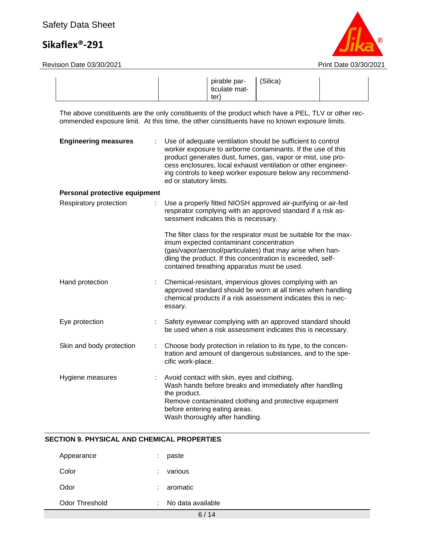# Safety Data Sheet

# **Sikaflex®-291**



|                                                                                                                                                                                                     |                         | pirable par-<br>ticulate mat-<br>ter)                                                                           | (Silica)                                                                                                                                                                                                                                                                                                                 |  |
|-----------------------------------------------------------------------------------------------------------------------------------------------------------------------------------------------------|-------------------------|-----------------------------------------------------------------------------------------------------------------|--------------------------------------------------------------------------------------------------------------------------------------------------------------------------------------------------------------------------------------------------------------------------------------------------------------------------|--|
| The above constituents are the only constituents of the product which have a PEL, TLV or other rec-<br>ommended exposure limit. At this time, the other constituents have no known exposure limits. |                         |                                                                                                                 |                                                                                                                                                                                                                                                                                                                          |  |
| <b>Engineering measures</b>                                                                                                                                                                         | ed or statutory limits. |                                                                                                                 | Use of adequate ventilation should be sufficient to control<br>worker exposure to airborne contaminants. If the use of this<br>product generates dust, fumes, gas, vapor or mist, use pro-<br>cess enclosures, local exhaust ventilation or other engineer-<br>ing controls to keep worker exposure below any recommend- |  |
| Personal protective equipment                                                                                                                                                                       |                         |                                                                                                                 |                                                                                                                                                                                                                                                                                                                          |  |
| Respiratory protection                                                                                                                                                                              |                         | sessment indicates this is necessary.                                                                           | Use a properly fitted NIOSH approved air-purifying or air-fed<br>respirator complying with an approved standard if a risk as-                                                                                                                                                                                            |  |
|                                                                                                                                                                                                     |                         | imum expected contaminant concentration<br>contained breathing apparatus must be used.                          | The filter class for the respirator must be suitable for the max-<br>(gas/vapor/aerosol/particulates) that may arise when han-<br>dling the product. If this concentration is exceeded, self-                                                                                                                            |  |
| Hand protection<br>÷.                                                                                                                                                                               | essary.                 |                                                                                                                 | Chemical-resistant, impervious gloves complying with an<br>approved standard should be worn at all times when handling<br>chemical products if a risk assessment indicates this is nec-                                                                                                                                  |  |
| Eye protection                                                                                                                                                                                      |                         |                                                                                                                 | Safety eyewear complying with an approved standard should<br>be used when a risk assessment indicates this is necessary.                                                                                                                                                                                                 |  |
| Skin and body protection<br>÷                                                                                                                                                                       | cific work-place.       |                                                                                                                 | Choose body protection in relation to its type, to the concen-<br>tration and amount of dangerous substances, and to the spe-                                                                                                                                                                                            |  |
| Hygiene measures                                                                                                                                                                                    | the product.            | Avoid contact with skin, eyes and clothing.<br>before entering eating areas.<br>Wash thoroughly after handling. | Wash hands before breaks and immediately after handling<br>Remove contaminated clothing and protective equipment                                                                                                                                                                                                         |  |

#### **SECTION 9. PHYSICAL AND CHEMICAL PROPERTIES**

| Odor Threshold | No data available |
|----------------|-------------------|
| Odor           | $: a$ romatic     |
| Color          | $:$ various       |
| Appearance     | paste             |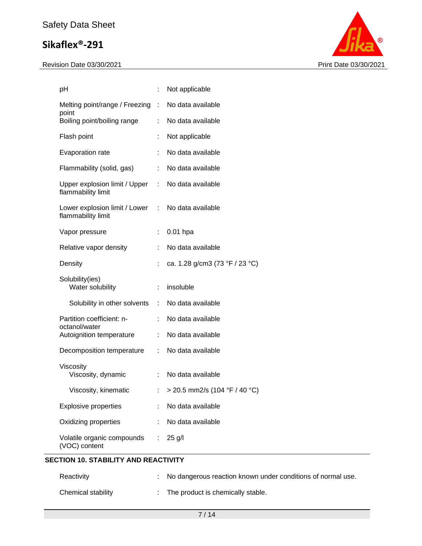#### Revision Date 03/30/2021 Print Date 03/30/2021



| рH                                                  |                               | Not applicable                  |
|-----------------------------------------------------|-------------------------------|---------------------------------|
| Melting point/range / Freezing<br>point             | $\sim$ 100                    | No data available               |
| Boiling point/boiling range                         | ÷                             | No data available               |
| Flash point                                         |                               | Not applicable                  |
| Evaporation rate                                    |                               | No data available               |
| Flammability (solid, gas)                           | ÷                             | No data available               |
| Upper explosion limit / Upper<br>flammability limit | $\mathbb{R}^{\mathbb{Z}}$     | No data available               |
| Lower explosion limit / Lower<br>flammability limit | ÷                             | No data available               |
| Vapor pressure                                      |                               | $0.01$ hpa                      |
| Relative vapor density                              | ÷                             | No data available               |
| Density                                             |                               | ca. 1.28 g/cm3 (73 °F / 23 °C)  |
| Solubility(ies)<br>Water solubility                 |                               | insoluble                       |
| Solubility in other solvents                        | $\mathcal{I}^{\mathcal{I}}$ . | No data available               |
| Partition coefficient: n-<br>octanol/water          | ÷                             | No data available               |
| Autoignition temperature                            | ÷                             | No data available               |
| Decomposition temperature                           |                               | No data available               |
| Viscosity<br>Viscosity, dynamic                     |                               | No data available               |
| Viscosity, kinematic                                |                               | : > 20.5 mm2/s (104 °F / 40 °C) |
| <b>Explosive properties</b>                         | ÷                             | No data available               |
| Oxidizing properties                                |                               | No data available               |
| Volatile organic compounds<br>(VOC) content         | ÷                             | $25$ g/l                        |

### **SECTION 10. STABILITY AND REACTIVITY**

| Reactivity         | No dangerous reaction known under conditions of normal use. |
|--------------------|-------------------------------------------------------------|
| Chemical stability | The product is chemically stable.                           |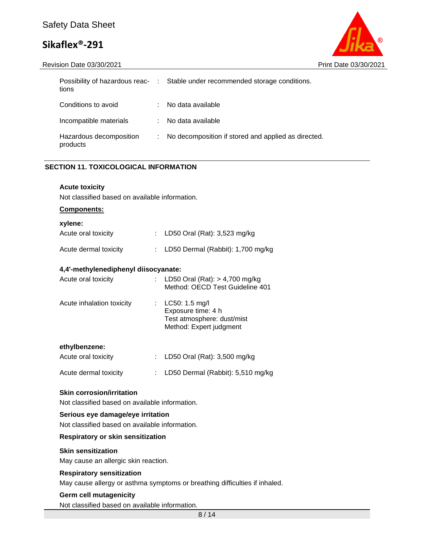Revision Date 03/30/2021 **Print Date 03/30/2021** Print Date 03/30/2021



| tions                               |   | Possibility of hazardous reac- : Stable under recommended storage conditions. |
|-------------------------------------|---|-------------------------------------------------------------------------------|
| Conditions to avoid                 |   | No data available                                                             |
| Incompatible materials              |   | No data available                                                             |
| Hazardous decomposition<br>products | ÷ | No decomposition if stored and applied as directed.                           |

#### **SECTION 11. TOXICOLOGICAL INFORMATION**

#### **Acute toxicity** Not classified based on available information.

**Components:**

| xylene: |
|---------|
|---------|

| AVIUIU.               |                                       |
|-----------------------|---------------------------------------|
| Acute oral toxicity   | : LD50 Oral (Rat): $3,523$ mg/kg      |
| Acute dermal toxicity | : LD50 Dermal (Rabbit): $1,700$ mg/kg |
|                       |                                       |

#### **4,4'-methylenediphenyl diisocyanate:**

| Acute oral toxicity       | : LD50 Oral (Rat): $> 4,700$ mg/kg<br>Method: OECD Test Guideline 401                         |  |  |
|---------------------------|-----------------------------------------------------------------------------------------------|--|--|
| Acute inhalation toxicity | LC50: 1.5 mg/l<br>Exposure time: 4 h<br>Test atmosphere: dust/mist<br>Method: Expert judgment |  |  |
| ethylbenzene:             |                                                                                               |  |  |
| Acute oral toxicity       | LD50 Oral (Rat): 3,500 mg/kg                                                                  |  |  |

Acute dermal toxicity : LD50 Dermal (Rabbit): 5,510 mg/kg

#### **Skin corrosion/irritation**

Not classified based on available information.

#### **Serious eye damage/eye irritation**

Not classified based on available information.

#### **Respiratory or skin sensitization**

#### **Skin sensitization**

May cause an allergic skin reaction.

#### **Respiratory sensitization**

May cause allergy or asthma symptoms or breathing difficulties if inhaled.

#### **Germ cell mutagenicity**

Not classified based on available information.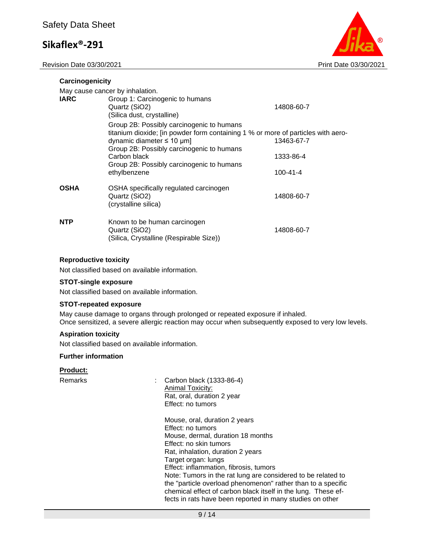Revision Date 03/30/2021 **Print Date 03/30/2021** Print Date 03/30/2021



| Carcinogenicity                 |                                                                                                                                                                                                                  |                |  |  |  |  |  |  |
|---------------------------------|------------------------------------------------------------------------------------------------------------------------------------------------------------------------------------------------------------------|----------------|--|--|--|--|--|--|
| May cause cancer by inhalation. |                                                                                                                                                                                                                  |                |  |  |  |  |  |  |
| <b>IARC</b>                     | Group 1: Carcinogenic to humans<br>Quartz (SiO2)<br>(Silica dust, crystalline)                                                                                                                                   | 14808-60-7     |  |  |  |  |  |  |
|                                 | Group 2B: Possibly carcinogenic to humans<br>titanium dioxide; [in powder form containing 1 % or more of particles with aero-<br>dynamic diameter $\leq 10 \mu m$ ]<br>Group 2B: Possibly carcinogenic to humans | 13463-67-7     |  |  |  |  |  |  |
|                                 | Carbon black                                                                                                                                                                                                     | 1333-86-4      |  |  |  |  |  |  |
|                                 | Group 2B: Possibly carcinogenic to humans<br>ethylbenzene                                                                                                                                                        | $100 - 41 - 4$ |  |  |  |  |  |  |
| <b>OSHA</b>                     | OSHA specifically regulated carcinogen<br>Quartz (SiO2)<br>(crystalline silica)                                                                                                                                  | 14808-60-7     |  |  |  |  |  |  |
| <b>NTP</b>                      | Known to be human carcinogen<br>Quartz (SiO2)<br>(Silica, Crystalline (Respirable Size))                                                                                                                         | 14808-60-7     |  |  |  |  |  |  |

#### **Reproductive toxicity**

Not classified based on available information.

#### **STOT-single exposure**

Not classified based on available information.

#### **STOT-repeated exposure**

May cause damage to organs through prolonged or repeated exposure if inhaled. Once sensitized, a severe allergic reaction may occur when subsequently exposed to very low levels.

#### **Aspiration toxicity**

Not classified based on available information.

#### **Further information**

#### **Product:**

Remarks : Carbon black (1333-86-4) Animal Toxicity: Rat, oral, duration 2 year Effect: no tumors

> Mouse, oral, duration 2 years Effect: no tumors Mouse, dermal, duration 18 months Effect: no skin tumors Rat, inhalation, duration 2 years Target organ: lungs Effect: inflammation, fibrosis, tumors Note: Tumors in the rat lung are considered to be related to the "particle overload phenomenon" rather than to a specific chemical effect of carbon black itself in the lung. These effects in rats have been reported in many studies on other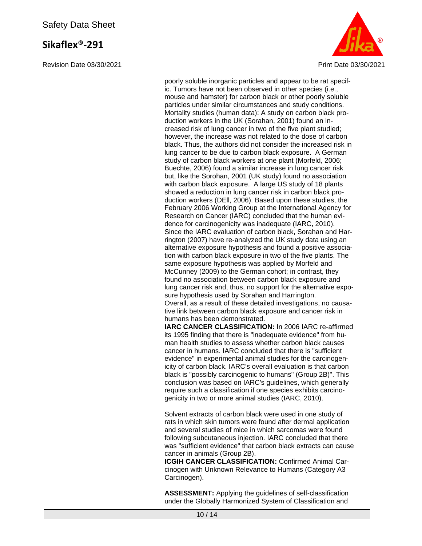Revision Date 03/30/2021 **Print Date 03/30/2021** Print Date 03/30/2021



poorly soluble inorganic particles and appear to be rat specific. Tumors have not been observed in other species (i.e., mouse and hamster) for carbon black or other poorly soluble particles under similar circumstances and study conditions. Mortality studies (human data): A study on carbon black production workers in the UK (Sorahan, 2001) found an increased risk of lung cancer in two of the five plant studied; however, the increase was not related to the dose of carbon black. Thus, the authors did not consider the increased risk in lung cancer to be due to carbon black exposure. A German study of carbon black workers at one plant (Morfeld, 2006; Buechte, 2006) found a similar increase in lung cancer risk but, like the Sorohan, 2001 (UK study) found no association with carbon black exposure. A large US study of 18 plants showed a reduction in lung cancer risk in carbon black production workers (DEll, 2006). Based upon these studies, the February 2006 Working Group at the International Agency for Research on Cancer (IARC) concluded that the human evidence for carcinogenicity was inadequate (IARC, 2010). Since the IARC evaluation of carbon black, Sorahan and Harrington (2007) have re-analyzed the UK study data using an alternative exposure hypothesis and found a positive association with carbon black exposure in two of the five plants. The same exposure hypothesis was applied by Morfeld and McCunney (2009) to the German cohort; in contrast, they found no association between carbon black exposure and lung cancer risk and, thus, no support for the alternative exposure hypothesis used by Sorahan and Harrington. Overall, as a result of these detailed investigations, no causative link between carbon black exposure and cancer risk in humans has been demonstrated. **IARC CANCER CLASSIFICATION:** In 2006 IARC re-affirmed its 1995 finding that there is "inadequate evidence" from hu-

man health studies to assess whether carbon black causes cancer in humans. IARC concluded that there is "sufficient evidence" in experimental animal studies for the carcinogenicity of carbon black. IARC's overall evaluation is that carbon black is "possibly carcinogenic to humans" (Group 2B)". This conclusion was based on IARC's guidelines, which generally require such a classification if one species exhibits carcinogenicity in two or more animal studies (IARC, 2010).

Solvent extracts of carbon black were used in one study of rats in which skin tumors were found after dermal application and several studies of mice in which sarcomas were found following subcutaneous injection. IARC concluded that there was "sufficient evidence" that carbon black extracts can cause cancer in animals (Group 2B).

**ICGIH CANCER CLASSIFICATION:** Confirmed Animal Carcinogen with Unknown Relevance to Humans (Category A3 Carcinogen).

**ASSESSMENT:** Applying the guidelines of self-classification under the Globally Harmonized System of Classification and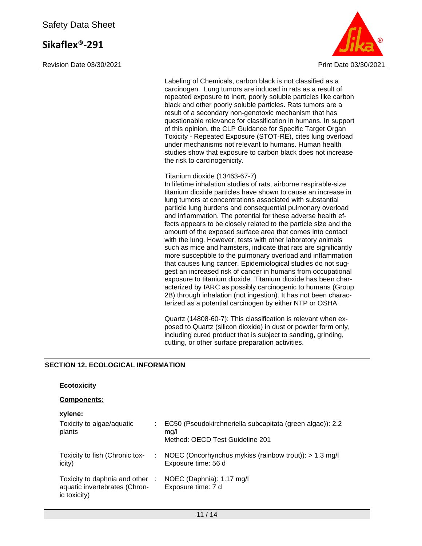Revision Date 03/30/2021 **Print Date 03/30/2021** Print Date 03/30/2021



Labeling of Chemicals, carbon black is not classified as a carcinogen. Lung tumors are induced in rats as a result of repeated exposure to inert, poorly soluble particles like carbon black and other poorly soluble particles. Rats tumors are a result of a secondary non-genotoxic mechanism that has questionable relevance for classification in humans. In support of this opinion, the CLP Guidance for Specific Target Organ Toxicity - Repeated Exposure (STOT-RE), cites lung overload under mechanisms not relevant to humans. Human health studies show that exposure to carbon black does not increase the risk to carcinogenicity.

#### Titanium dioxide (13463-67-7)

In lifetime inhalation studies of rats, airborne respirable-size titanium dioxide particles have shown to cause an increase in lung tumors at concentrations associated with substantial particle lung burdens and consequential pulmonary overload and inflammation. The potential for these adverse health effects appears to be closely related to the particle size and the amount of the exposed surface area that comes into contact with the lung. However, tests with other laboratory animals such as mice and hamsters, indicate that rats are significantly more susceptible to the pulmonary overload and inflammation that causes lung cancer. Epidemiological studies do not suggest an increased risk of cancer in humans from occupational exposure to titanium dioxide. Titanium dioxide has been characterized by IARC as possibly carcinogenic to humans (Group 2B) through inhalation (not ingestion). It has not been characterized as a potential carcinogen by either NTP or OSHA.

Quartz (14808-60-7): This classification is relevant when exposed to Quartz (silicon dioxide) in dust or powder form only, including cured product that is subject to sanding, grinding, cutting, or other surface preparation activities.

#### **SECTION 12. ECOLOGICAL INFORMATION**

| <b>Ecotoxicity</b>                                                               |    |                                                                                                      |
|----------------------------------------------------------------------------------|----|------------------------------------------------------------------------------------------------------|
| <b>Components:</b>                                                               |    |                                                                                                      |
| xylene:<br>Toxicity to algae/aquatic<br>plants                                   | ÷. | EC50 (Pseudokirchneriella subcapitata (green algae)): 2.2<br>mq/l<br>Method: OECD Test Guideline 201 |
| Toxicity to fish (Chronic tox-<br>icity)                                         | ÷. | NOEC (Oncorhynchus mykiss (rainbow trout)): $> 1.3$ mg/l<br>Exposure time: 56 d                      |
| Toxicity to daphnia and other :<br>aquatic invertebrates (Chron-<br>ic toxicity) |    | NOEC (Daphnia): 1.17 mg/l<br>Exposure time: 7 d                                                      |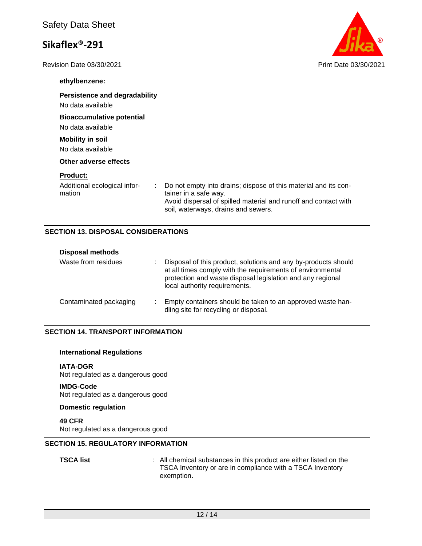Revision Date 03/30/2021 2021 2021 2022 2021 2022 2024 2022 2024 2022 2024 2022 2024



| ethylbenzene:                                             |                                                                    |                                                                                                                                    |
|-----------------------------------------------------------|--------------------------------------------------------------------|------------------------------------------------------------------------------------------------------------------------------------|
| <b>Persistence and degradability</b><br>No data available |                                                                    |                                                                                                                                    |
| <b>Bioaccumulative potential</b><br>No data available     |                                                                    |                                                                                                                                    |
| <b>Mobility in soil</b><br>No data available              |                                                                    |                                                                                                                                    |
| Other adverse effects                                     |                                                                    |                                                                                                                                    |
| <b>Product:</b><br>Additional ecological infor-<br>mation | ÷.<br>tainer in a safe way.<br>soil, waterways, drains and sewers. | Do not empty into drains; dispose of this material and its con-<br>Avoid dispersal of spilled material and runoff and contact with |

#### **SECTION 13. DISPOSAL CONSIDERATIONS**

| <b>Disposal methods</b> |                                                                                                                                                                                                                             |
|-------------------------|-----------------------------------------------------------------------------------------------------------------------------------------------------------------------------------------------------------------------------|
| Waste from residues     | Disposal of this product, solutions and any by-products should<br>at all times comply with the requirements of environmental<br>protection and waste disposal legislation and any regional<br>local authority requirements. |
| Contaminated packaging  | Empty containers should be taken to an approved waste han-<br>dling site for recycling or disposal.                                                                                                                         |

#### **SECTION 14. TRANSPORT INFORMATION**

#### **International Regulations**

**IATA-DGR** Not regulated as a dangerous good

#### **IMDG-Code**

Not regulated as a dangerous good

#### **Domestic regulation**

**49 CFR**

Not regulated as a dangerous good

#### **SECTION 15. REGULATORY INFORMATION**

**TSCA list** : All chemical substances in this product are either listed on the TSCA Inventory or are in compliance with a TSCA Inventory exemption.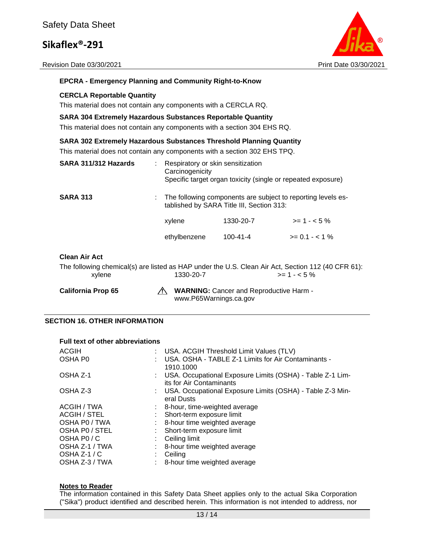Revision Date 03/30/2021 **Print Date 03/30/2021** Print Date 03/30/2021



#### **EPCRA - Emergency Planning and Community Right-to-Know**

#### **CERCLA Reportable Quantity**

This material does not contain any components with a CERCLA RQ.

#### **SARA 304 Extremely Hazardous Substances Reportable Quantity**

This material does not contain any components with a section 304 EHS RQ.

#### **SARA 302 Extremely Hazardous Substances Threshold Planning Quantity**

This material does not contain any components with a section 302 EHS TPQ.

| SARA 311/312 Hazards | Respiratory or skin sensitization<br>Carcinogenicity<br>Specific target organ toxicity (single or repeated exposure) |                |                |
|----------------------|----------------------------------------------------------------------------------------------------------------------|----------------|----------------|
| <b>SARA 313</b>      | : The following components are subject to reporting levels es-<br>tablished by SARA Title III, Section 313:          |                |                |
|                      | xylene                                                                                                               | 1330-20-7      | $>= 1 - 5\%$   |
|                      | ethylbenzene                                                                                                         | $100 - 41 - 4$ | $>= 0.1 - 1\%$ |
|                      |                                                                                                                      |                |                |

#### **Clean Air Act**

The following chemical(s) are listed as HAP under the U.S. Clean Air Act, Section 112 (40 CFR 61):  $x$ ylene 1330-20-7  $\rightarrow$  14330-20-7

California Prop 65 A WARNING: Cancer and Reproductive Harm www.P65Warnings.ca.gov

#### **SECTION 16. OTHER INFORMATION**

#### **Full text of other abbreviations**

| ACGIH<br>OSHA P0 | : USA. ACGIH Threshold Limit Values (TLV)<br>USA, OSHA - TABLE Z-1 Limits for Air Contaminants -<br>1910.1000 |
|------------------|---------------------------------------------------------------------------------------------------------------|
| OSHA Z-1         | : USA. Occupational Exposure Limits (OSHA) - Table Z-1 Lim-<br>its for Air Contaminants                       |
| OSHA Z-3         | : USA. Occupational Exposure Limits (OSHA) - Table Z-3 Min-<br>eral Dusts                                     |
| ACGIH / TWA      | 8-hour, time-weighted average                                                                                 |
| ACGIH / STEL     | Short-term exposure limit                                                                                     |
| OSHA PO / TWA    | 8-hour time weighted average                                                                                  |
| OSHA PO / STEL   | Short-term exposure limit                                                                                     |
| OSHA PO/C        | Ceiling limit                                                                                                 |
| OSHA Z-1 / TWA   | 8-hour time weighted average                                                                                  |
| OSHA $Z-1/C$     | Ceiling                                                                                                       |
| OSHA Z-3 / TWA   | 8-hour time weighted average                                                                                  |

#### **Notes to Reader**

The information contained in this Safety Data Sheet applies only to the actual Sika Corporation ("Sika") product identified and described herein. This information is not intended to address, nor